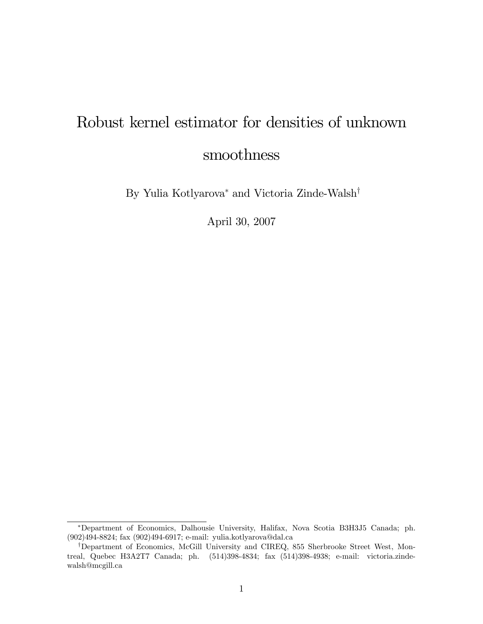# Robust kernel estimator for densities of unknown smoothness

By Yulia Kotlyarova<sup>\*</sup> and Victoria Zinde-Walsh<sup>†</sup>

April 30, 2007

Department of Economics, Dalhousie University, Halifax, Nova Scotia B3H3J5 Canada; ph. (902)494-8824; fax (902)494-6917; e-mail: yulia.kotlyarova@dal.ca

<sup>&</sup>lt;sup>†</sup>Department of Economics, McGill University and CIREQ, 855 Sherbrooke Street West, Montreal, Quebec H3A2T7 Canada; ph. (514)398-4834; fax (514)398-4938; e-mail: victoria.zindewalsh@mcgill.ca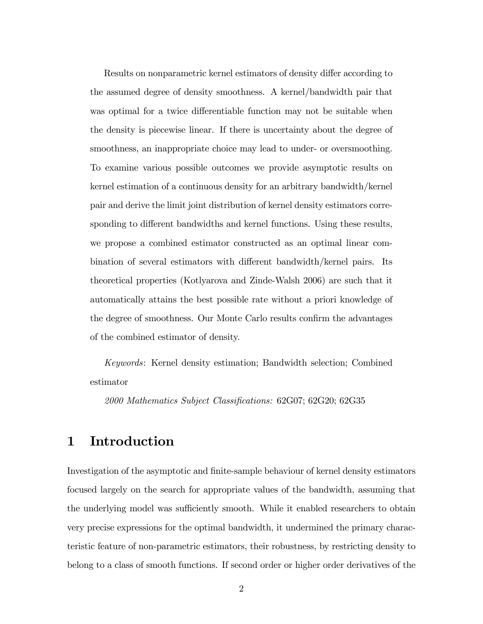Results on nonparametric kernel estimators of density differ according to the assumed degree of density smoothness. A kernel/bandwidth pair that was optimal for a twice differentiable function may not be suitable when the density is piecewise linear. If there is uncertainty about the degree of smoothness, an inappropriate choice may lead to under- or oversmoothing. To examine various possible outcomes we provide asymptotic results on kernel estimation of a continuous density for an arbitrary bandwidth/kernel pair and derive the limit joint distribution of kernel density estimators corresponding to different bandwidths and kernel functions. Using these results, we propose a combined estimator constructed as an optimal linear combination of several estimators with different bandwidth/kernel pairs. Its theoretical properties (Kotlyarova and Zinde-Walsh 2006) are such that it automatically attains the best possible rate without a priori knowledge of the degree of smoothness. Our Monte Carlo results confirm the advantages of the combined estimator of density.

Keywords: Kernel density estimation; Bandwidth selection; Combined estimator

2000 Mathematics Subject Classifications: 62G07; 62G20; 62G35

# 1 Introduction

Investigation of the asymptotic and finite-sample behaviour of kernel density estimators focused largely on the search for appropriate values of the bandwidth, assuming that the underlying model was sufficiently smooth. While it enabled researchers to obtain very precise expressions for the optimal bandwidth, it undermined the primary characteristic feature of non-parametric estimators, their robustness, by restricting density to belong to a class of smooth functions. If second order or higher order derivatives of the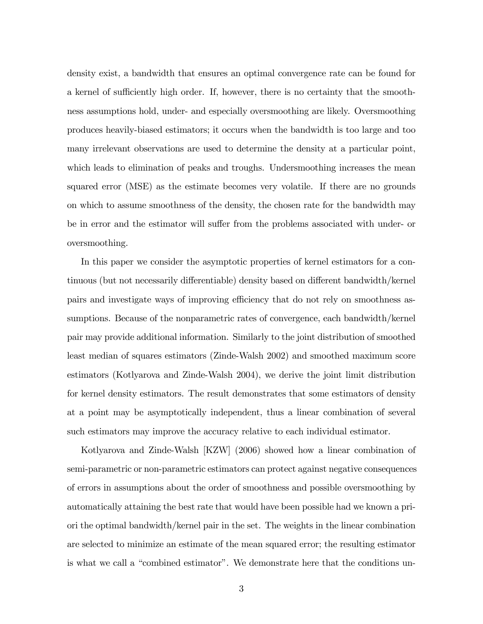density exist, a bandwidth that ensures an optimal convergence rate can be found for a kernel of sufficiently high order. If, however, there is no certainty that the smoothness assumptions hold, under- and especially oversmoothing are likely. Oversmoothing produces heavily-biased estimators; it occurs when the bandwidth is too large and too many irrelevant observations are used to determine the density at a particular point, which leads to elimination of peaks and troughs. Undersmoothing increases the mean squared error (MSE) as the estimate becomes very volatile. If there are no grounds on which to assume smoothness of the density, the chosen rate for the bandwidth may be in error and the estimator will suffer from the problems associated with under- or oversmoothing.

In this paper we consider the asymptotic properties of kernel estimators for a continuous (but not necessarily differentiable) density based on different bandwidth/kernel pairs and investigate ways of improving efficiency that do not rely on smoothness assumptions. Because of the nonparametric rates of convergence, each bandwidth/kernel pair may provide additional information. Similarly to the joint distribution of smoothed least median of squares estimators (Zinde-Walsh 2002) and smoothed maximum score estimators (Kotlyarova and Zinde-Walsh 2004), we derive the joint limit distribution for kernel density estimators. The result demonstrates that some estimators of density at a point may be asymptotically independent, thus a linear combination of several such estimators may improve the accuracy relative to each individual estimator.

Kotlyarova and Zinde-Walsh [KZW] (2006) showed how a linear combination of semi-parametric or non-parametric estimators can protect against negative consequences of errors in assumptions about the order of smoothness and possible oversmoothing by automatically attaining the best rate that would have been possible had we known a priori the optimal bandwidth/kernel pair in the set. The weights in the linear combination are selected to minimize an estimate of the mean squared error; the resulting estimator is what we call a "combined estimator". We demonstrate here that the conditions un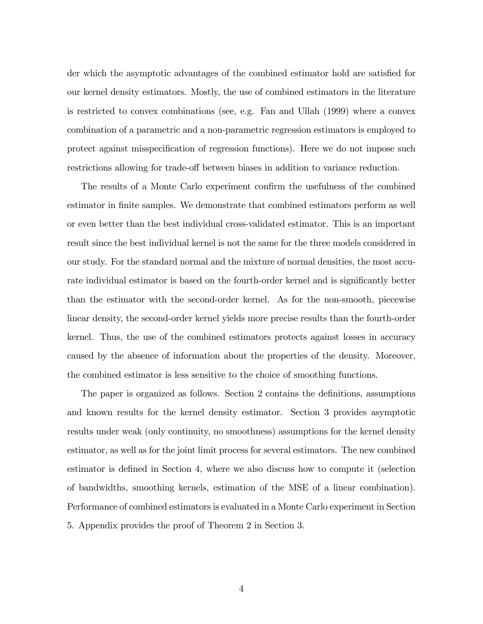der which the asymptotic advantages of the combined estimator hold are satisfied for our kernel density estimators. Mostly, the use of combined estimators in the literature is restricted to convex combinations (see, e.g. Fan and Ullah (1999) where a convex combination of a parametric and a non-parametric regression estimators is employed to protect against misspecification of regression functions). Here we do not impose such restrictions allowing for trade-off between biases in addition to variance reduction.

The results of a Monte Carlo experiment confirm the usefulness of the combined estimator in finite samples. We demonstrate that combined estimators perform as well or even better than the best individual cross-validated estimator. This is an important result since the best individual kernel is not the same for the three models considered in our study. For the standard normal and the mixture of normal densities, the most accurate individual estimator is based on the fourth-order kernel and is significantly better than the estimator with the second-order kernel. As for the non-smooth, piecewise linear density, the second-order kernel yields more precise results than the fourth-order kernel. Thus, the use of the combined estimators protects against losses in accuracy caused by the absence of information about the properties of the density. Moreover, the combined estimator is less sensitive to the choice of smoothing functions.

The paper is organized as follows. Section 2 contains the definitions, assumptions and known results for the kernel density estimator. Section 3 provides asymptotic results under weak (only continuity, no smoothness) assumptions for the kernel density estimator, as well as for the joint limit process for several estimators. The new combined estimator is defined in Section 4, where we also discuss how to compute it (selection of bandwidths, smoothing kernels, estimation of the MSE of a linear combination). Performance of combined estimators is evaluated in a Monte Carlo experiment in Section 5. Appendix provides the proof of Theorem 2 in Section 3.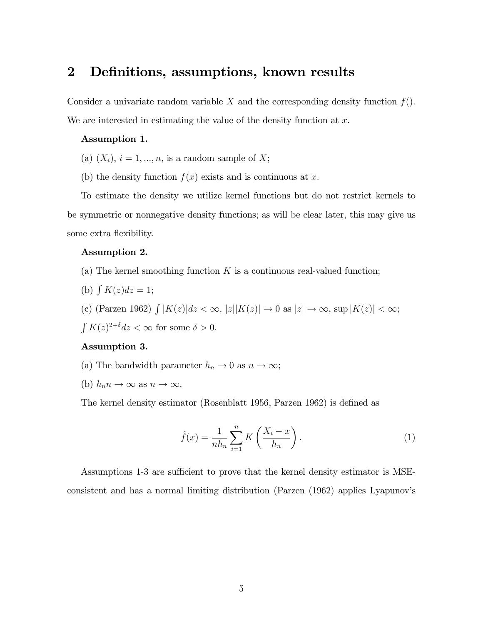### 2 Definitions, assumptions, known results

Consider a univariate random variable X and the corresponding density function  $f(.)$ . We are interested in estimating the value of the density function at  $x$ .

#### Assumption 1.

- (a)  $(X_i)$ ,  $i = 1, ..., n$ , is a random sample of X;
- (b) the density function  $f(x)$  exists and is continuous at x.

To estimate the density we utilize kernel functions but do not restrict kernels to be symmetric or nonnegative density functions; as will be clear later, this may give us some extra flexibility.

#### Assumption 2.

- (a) The kernel smoothing function  $K$  is a continuous real-valued function;
- (b)  $\int K(z)dz = 1;$
- (c) (Parzen 1962)  $\int |K(z)|dz < \infty$ ,  $|z||K(z)| \to 0$  as  $|z| \to \infty$ , sup  $|K(z)| < \infty$ ;  $\int K(z)^{2+\delta} dz < \infty$  for some  $\delta > 0$ .

#### Assumption 3.

- (a) The bandwidth parameter  $h_n \to 0$  as  $n \to \infty$ ;
- (b)  $h_n n \to \infty$  as  $n \to \infty$ .

The kernel density estimator (Rosenblatt 1956, Parzen 1962) is defined as

$$
\hat{f}(x) = \frac{1}{nh_n} \sum_{i=1}^{n} K\left(\frac{X_i - x}{h_n}\right). \tag{1}
$$

Assumptions 1-3 are sufficient to prove that the kernel density estimator is MSEconsistent and has a normal limiting distribution (Parzen (1962) applies Lyapunovís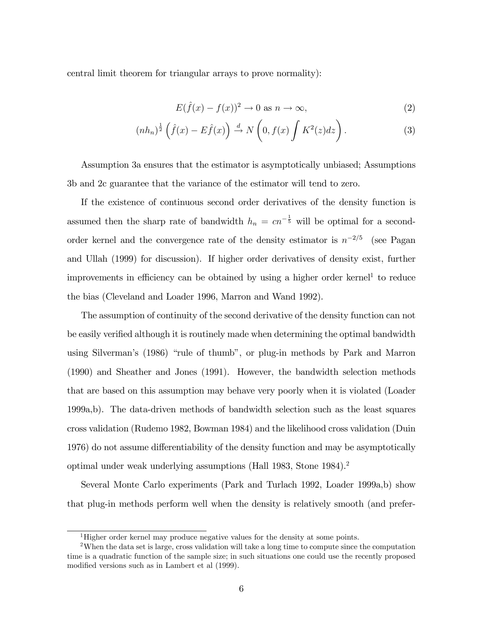central limit theorem for triangular arrays to prove normality):

$$
E(\hat{f}(x) - f(x))^2 \to 0 \text{ as } n \to \infty,
$$
\n(2)

$$
(nh_n)^{\frac{1}{2}}\left(\hat{f}(x)-E\hat{f}(x)\right) \stackrel{d}{\to} N\left(0,f(x)\int K^2(z)dz\right).
$$
 (3)

Assumption 3a ensures that the estimator is asymptotically unbiased; Assumptions 3b and 2c guarantee that the variance of the estimator will tend to zero.

If the existence of continuous second order derivatives of the density function is assumed then the sharp rate of bandwidth  $h_n = cn^{-\frac{1}{5}}$  will be optimal for a secondorder kernel and the convergence rate of the density estimator is  $n^{-2/5}$  (see Pagan and Ullah (1999) for discussion). If higher order derivatives of density exist, further improvements in efficiency can be obtained by using a higher order kernel<sup>1</sup> to reduce the bias (Cleveland and Loader 1996, Marron and Wand 1992).

The assumption of continuity of the second derivative of the density function can not be easily verified although it is routinely made when determining the optimal bandwidth using Silverman's (1986) "rule of thumb", or plug-in methods by Park and Marron (1990) and Sheather and Jones (1991). However, the bandwidth selection methods that are based on this assumption may behave very poorly when it is violated (Loader 1999a,b). The data-driven methods of bandwidth selection such as the least squares cross validation (Rudemo 1982, Bowman 1984) and the likelihood cross validation (Duin 1976) do not assume differentiability of the density function and may be asymptotically optimal under weak underlying assumptions (Hall 1983, Stone 1984).<sup>2</sup>

Several Monte Carlo experiments (Park and Turlach 1992, Loader 1999a,b) show that plug-in methods perform well when the density is relatively smooth (and prefer-

<sup>&</sup>lt;sup>1</sup>Higher order kernel may produce negative values for the density at some points.

<sup>2</sup>When the data set is large, cross validation will take a long time to compute since the computation time is a quadratic function of the sample size; in such situations one could use the recently proposed modified versions such as in Lambert et al  $(1999)$ .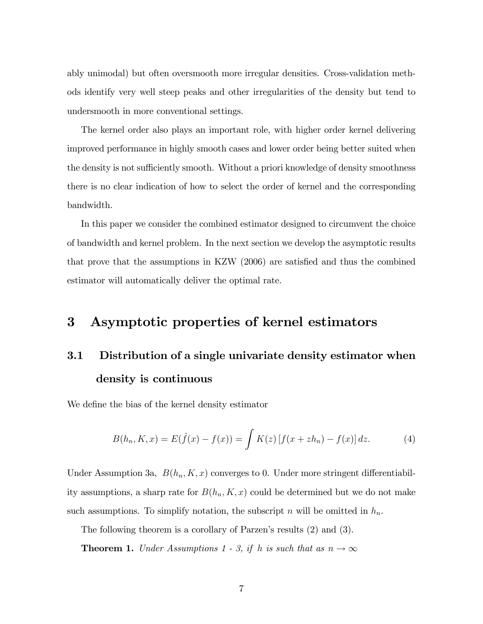ably unimodal) but often oversmooth more irregular densities. Cross-validation methods identify very well steep peaks and other irregularities of the density but tend to undersmooth in more conventional settings.

The kernel order also plays an important role, with higher order kernel delivering improved performance in highly smooth cases and lower order being better suited when the density is not sufficiently smooth. Without a priori knowledge of density smoothness there is no clear indication of how to select the order of kernel and the corresponding bandwidth.

In this paper we consider the combined estimator designed to circumvent the choice of bandwidth and kernel problem. In the next section we develop the asymptotic results that prove that the assumptions in KZW  $(2006)$  are satisfied and thus the combined estimator will automatically deliver the optimal rate.

# 3 Asymptotic properties of kernel estimators

# 3.1 Distribution of a single univariate density estimator when density is continuous

We define the bias of the kernel density estimator

$$
B(h_n, K, x) = E(\hat{f}(x) - f(x)) = \int K(z) [f(x + zh_n) - f(x)] dz.
$$
 (4)

Under Assumption 3a,  $B(h_n, K, x)$  converges to 0. Under more stringent differentiability assumptions, a sharp rate for  $B(h_n, K, x)$  could be determined but we do not make such assumptions. To simplify notation, the subscript n will be omitted in  $h_n$ .

The following theorem is a corollary of Parzen's results (2) and (3).

**Theorem 1.** Under Assumptions 1 - 3, if h is such that as  $n \to \infty$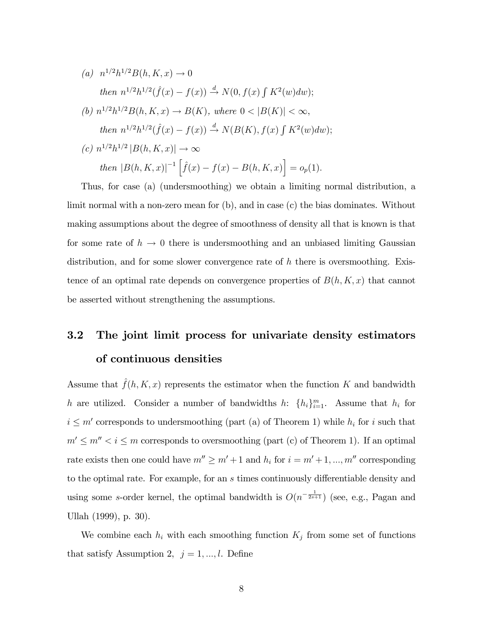(a) 
$$
n^{1/2}h^{1/2}B(h, K, x) \to 0
$$
  
\nthen  $n^{1/2}h^{1/2}(\hat{f}(x) - f(x)) \xrightarrow{d} N(0, f(x) \int K^2(w)dw)$ ;  
\n(b)  $n^{1/2}h^{1/2}B(h, K, x) \to B(K)$ , where  $0 < |B(K)| < \infty$ ,  
\nthen  $n^{1/2}h^{1/2}(\hat{f}(x) - f(x)) \xrightarrow{d} N(B(K), f(x) \int K^2(w)dw)$ ;  
\n(c)  $n^{1/2}h^{1/2} |B(h, K, x)| \to \infty$   
\nthen  $|B(h, K, x)|^{-1} [\hat{f}(x) - f(x) - B(h, K, x)] = o_p(1)$ .

Thus, for case (a) (undersmoothing) we obtain a limiting normal distribution, a limit normal with a non-zero mean for (b), and in case (c) the bias dominates. Without making assumptions about the degree of smoothness of density all that is known is that for some rate of  $h \to 0$  there is undersmoothing and an unbiased limiting Gaussian distribution, and for some slower convergence rate of  $h$  there is oversmoothing. Existence of an optimal rate depends on convergence properties of  $B(h, K, x)$  that cannot be asserted without strengthening the assumptions.

# 3.2 The joint limit process for univariate density estimators of continuous densities

Assume that  $\hat{f}(h, K, x)$  represents the estimator when the function K and bandwidth h are utilized. Consider a number of bandwidths h:  $\{h_i\}_{i=1}^m$ . Assume that  $h_i$  for  $i \leq m'$  corresponds to undersmoothing (part (a) of Theorem 1) while  $h_i$  for i such that  $m' \leq m'' < i \leq m$  corresponds to oversmoothing (part (c) of Theorem 1). If an optimal rate exists then one could have  $m'' \ge m' + 1$  and  $h_i$  for  $i = m' + 1, ..., m''$  corresponding to the optimal rate. For example, for an  $s$  times continuously differentiable density and using some s-order kernel, the optimal bandwidth is  $O(n^{-\frac{1}{2s+1}})$  (see, e.g., Pagan and Ullah (1999), p. 30).

We combine each  $h_i$  with each smoothing function  $K_j$  from some set of functions that satisfy Assumption 2,  $j = 1, ..., l$ . Define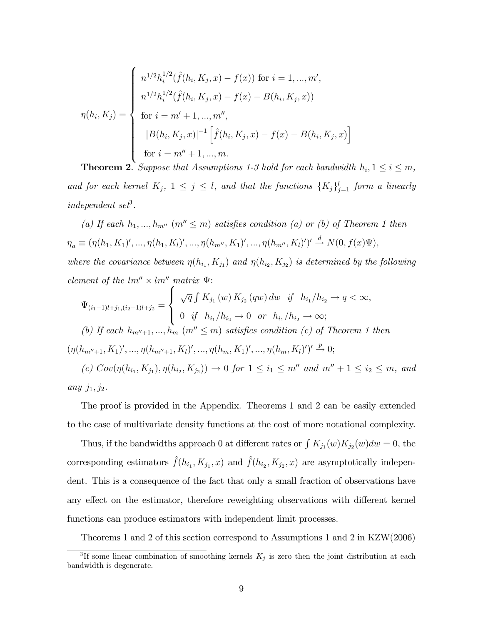$$
\eta(h_i, K_j) = \begin{cases}\n n^{1/2} h_i^{1/2}(\hat{f}(h_i, K_j, x) - f(x)) \text{ for } i = 1, ..., m', \\
 n^{1/2} h_i^{1/2}(\hat{f}(h_i, K_j, x) - f(x) - B(h_i, K_j, x)) \\
 \text{ for } i = m' + 1, ..., m'', \\
 |B(h_i, K_j, x)|^{-1} \left[ \hat{f}(h_i, K_j, x) - f(x) - B(h_i, K_j, x) \right] \\
 \text{ for } i = m'' + 1, ..., m.\n\end{cases}
$$

**Theorem 2.** Suppose that Assumptions 1-3 hold for each bandwidth  $h_i, 1 \leq i \leq m$ , and for each kernel  $K_j$ ,  $1 \leq j \leq l$ , and that the functions  $\{K_j\}_{j=1}^l$  form a linearly  $independent\ set^3.$ 

(a) If each  $h_1, ..., h_{m''}$   $(m'' \leq m)$  satisfies condition (a) or (b) of Theorem 1 then  $\eta_a \equiv (\eta(h_1, K_1)', ..., \eta(h_1, K_l)', ..., \eta(h_{m''}, K_1)', ..., \eta(h_{m''}, K_l)')' \stackrel{d}{\rightarrow} N(0, f(x)\Psi),$ where the covariance between  $\eta(h_{i_1}, K_{j_1})$  and  $\eta(h_{i_2}, K_{j_2})$  is determined by the following element of the  $lm'' \times lm''$  matrix  $\Psi$ :

$$
\Psi_{(i_1-1)l+j_1,(i_2-1)l+j_2} = \begin{cases}\n\sqrt{q} \int K_{j_1}(w) K_{j_2}(qw) dw & \text{if } h_{i_1}/h_{i_2} \to q < \infty, \\
0 & \text{if } h_{i_1}/h_{i_2} \to 0 \text{ or } h_{i_1}/h_{i_2} \to \infty; \\
0 & \text{if } h_{i_1}/h_{i_2} \to 0 \text{ or } h_{i_1}/h_{i_2} \to \infty;\n\end{cases}
$$
\n
$$
(\eta(h_{m''+1}, K_1)', ..., \eta(h_{m''+1}, K_l)', ..., \eta(h_m, K_1)', ..., \eta(h_m, K_l)')' \xrightarrow{p} 0;
$$
\n
$$
(c) \ Cov(\eta(h_{i_1}, K_{j_1}), \eta(h_{i_2}, K_{j_2})) \to 0 \text{ for } 1 \leq i_1 \leq m'' \text{ and } m'' + 1 \leq i_2 \leq m, \text{ and }
$$

$$
\textit{any } j_1, j_2.
$$

The proof is provided in the Appendix. Theorems 1 and 2 can be easily extended to the case of multivariate density functions at the cost of more notational complexity.

Thus, if the bandwidths approach 0 at different rates or  $\int K_{j_1}(w)K_{j_2}(w)dw = 0$ , the corresponding estimators  $\hat{f}(h_{i_1}, K_{j_1}, x)$  and  $\hat{f}(h_{i_2}, K_{j_2}, x)$  are asymptotically independent. This is a consequence of the fact that only a small fraction of observations have any effect on the estimator, therefore reweighting observations with different kernel functions can produce estimators with independent limit processes.

Theorems 1 and 2 of this section correspond to Assumptions 1 and 2 in KZW(2006)

<sup>&</sup>lt;sup>3</sup>If some linear combination of smoothing kernels  $K_j$  is zero then the joint distribution at each bandwidth is degenerate.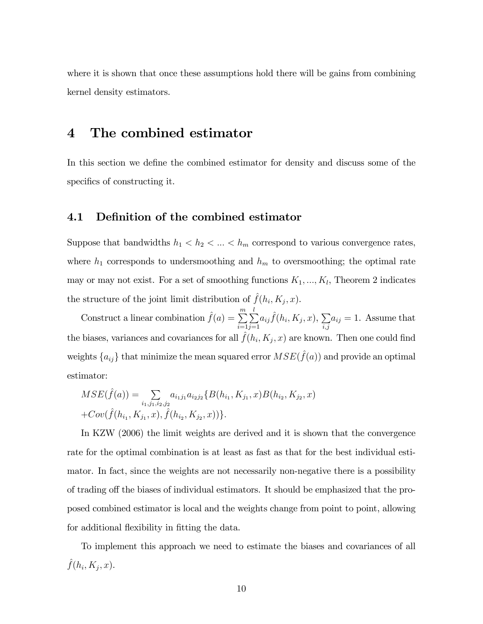where it is shown that once these assumptions hold there will be gains from combining kernel density estimators.

### 4 The combined estimator

In this section we define the combined estimator for density and discuss some of the specifics of constructing it.

#### 4.1 Definition of the combined estimator

Suppose that bandwidths  $h_1 < h_2 < \ldots < h_m$  correspond to various convergence rates, where  $h_1$  corresponds to undersmoothing and  $h_m$  to oversmoothing; the optimal rate may or may not exist. For a set of smoothing functions  $K_1, ..., K_l$ , Theorem 2 indicates the structure of the joint limit distribution of  $\hat{f}(h_i, K_j, x)$ .

Construct a linear combination  $\hat{f}(a) = \sum_{m=1}^{m}$  $i=1$  $\frac{l}{\sum}$  $j=1$  $a_{ij} \hat{f}(h_i,K_j,x), \sum$  $_{i,j}$  $a_{ij} = 1$ . Assume that the biases, variances and covariances for all  $\hat{f}(h_i, K_j, x)$  are known. Then one could find weights  $\{a_{ij}\}$  that minimize the mean squared error  $MSE(\hat{f}(a))$  and provide an optimal estimator:

$$
MSE(\hat{f}(a)) = \sum_{i_1, j_1, i_2, j_2} a_{i_1 j_1} a_{i_2 j_2} \{ B(h_{i_1}, K_{j_1}, x) B(h_{i_2}, K_{j_2}, x) + Cov(\hat{f}(h_{i_1}, K_{j_1}, x), \hat{f}(h_{i_2}, K_{j_2}, x)) \}.
$$

In KZW (2006) the limit weights are derived and it is shown that the convergence rate for the optimal combination is at least as fast as that for the best individual estimator. In fact, since the weights are not necessarily non-negative there is a possibility of trading of the biases of individual estimators. It should be emphasized that the proposed combined estimator is local and the weights change from point to point, allowing for additional flexibility in fitting the data.

To implement this approach we need to estimate the biases and covariances of all  $\hat{f}(h_i, K_j, x)$ .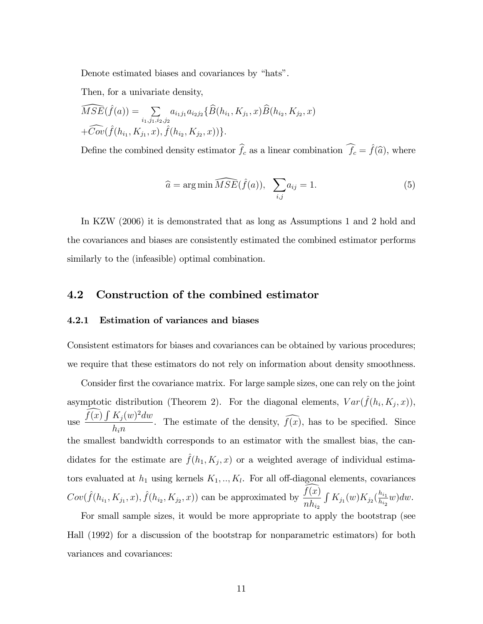Denote estimated biases and covariances by "hats".

Then, for a univariate density,

$$
\widehat{MSE}(\hat{f}(a)) = \sum_{i_1, j_1, i_2, j_2} a_{i_1 j_1} a_{i_2 j_2} \{\hat{B}(h_{i_1}, K_{j_1}, x)\hat{B}(h_{i_2}, K_{j_2}, x) + \widehat{Cov}(\hat{f}(h_{i_1}, K_{j_1}, x), \hat{f}(h_{i_2}, K_{j_2}, x))\}.
$$

Define the combined density estimator  $\hat{f}_c$  as a linear combination  $\hat{f}_c = \hat{f}(\hat{a})$ , where

$$
\widehat{a} = \arg\min \widehat{MSE}(\widehat{f}(a)), \quad \sum_{i,j} a_{ij} = 1. \tag{5}
$$

In KZW (2006) it is demonstrated that as long as Assumptions 1 and 2 hold and the covariances and biases are consistently estimated the combined estimator performs similarly to the (infeasible) optimal combination.

#### 4.2 Construction of the combined estimator

#### 4.2.1 Estimation of variances and biases

Consistent estimators for biases and covariances can be obtained by various procedures; we require that these estimators do not rely on information about density smoothness.

Consider first the covariance matrix. For large sample sizes, one can rely on the joint asymptotic distribution (Theorem 2). For the diagonal elements,  $Var(\hat{f}(h_i, K_j, x))$ , use  $\frac{\widehat{f(x)} \int K_j(w)^2 dw}{l}$  $\frac{Hf(x)}{h_in}$ . The estimate of the density,  $f(x)$ , has to be specified. Since the smallest bandwidth corresponds to an estimator with the smallest bias, the candidates for the estimate are  $\hat{f}(h_1, K_j, x)$  or a weighted average of individual estimators evaluated at  $h_1$  using kernels  $K_1, \ldots, K_l$ . For all off-diagonal elements, covariances  $Cov(\hat{f}(h_{i_1}, K_{j_1}, x), \hat{f}(h_{i_2}, K_{j_2}, x))$  can be approximated by  $\frac{f(x)}{xh}$  $nh_{i_2}$  $\int K_{j_1}(w) K_{j_2}(\frac{h_{i_1}}{h_{i_2}})$  $\frac{n_{i_1}}{n_{i_2}}$ w $)$ dw.

For small sample sizes, it would be more appropriate to apply the bootstrap (see Hall (1992) for a discussion of the bootstrap for nonparametric estimators) for both variances and covariances: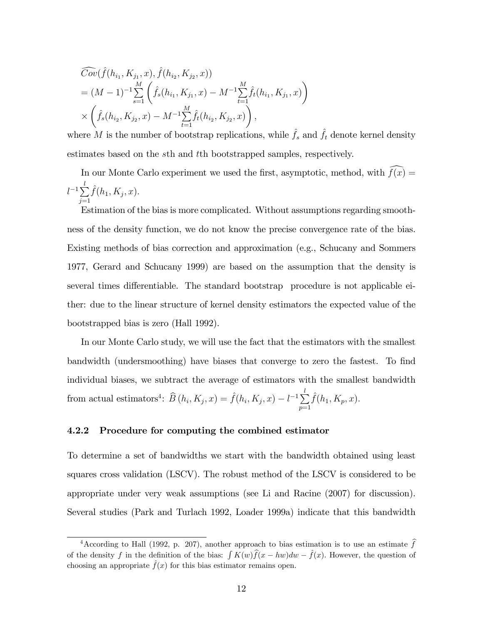$$
\widehat{Cov}(\widehat{f}(h_{i_1}, K_{j_1}, x), \widehat{f}(h_{i_2}, K_{j_2}, x))
$$
\n
$$
= (M - 1)^{-1} \sum_{s=1}^{M} \left( \widehat{f}_s(h_{i_1}, K_{j_1}, x) - M^{-1} \sum_{t=1}^{M} \widehat{f}_t(h_{i_1}, K_{j_1}, x) \right)
$$
\n
$$
\times \left( \widehat{f}_s(h_{i_2}, K_{j_2}, x) - M^{-1} \sum_{t=1}^{M} \widehat{f}_t(h_{i_2}, K_{j_2}, x) \right),
$$

where M is the number of bootstrap replications, while  $\hat{f}_s$  and  $\hat{f}_t$  denote kernel density estimates based on the sth and tth bootstrapped samples, respectively.

In our Monte Carlo experiment we used the first, asymptotic, method, with  $\widehat{f(x)} =$  $l^{-1}\sum_{i=1}^l$  $j=1$  $\hat{f}(h_1, K_j, x).$ 

Estimation of the bias is more complicated. Without assumptions regarding smoothness of the density function, we do not know the precise convergence rate of the bias. Existing methods of bias correction and approximation (e.g., Schucany and Sommers 1977, Gerard and Schucany 1999) are based on the assumption that the density is several times differentiable. The standard bootstrap procedure is not applicable either: due to the linear structure of kernel density estimators the expected value of the bootstrapped bias is zero (Hall 1992).

In our Monte Carlo study, we will use the fact that the estimators with the smallest bandwidth (undersmoothing) have biases that converge to zero the fastest. To find individual biases, we subtract the average of estimators with the smallest bandwidth from actual estimators<sup>4</sup>:  $\widehat{B}(h_i, K_j, x) = \widehat{f}(h_i, K_j, x) - l^{-1} \sum_{i=1}^l$  $p=1$  $\hat{f}(h_1, K_p, x).$ 

#### 4.2.2 Procedure for computing the combined estimator

To determine a set of bandwidths we start with the bandwidth obtained using least squares cross validation (LSCV). The robust method of the LSCV is considered to be appropriate under very weak assumptions (see Li and Racine (2007) for discussion). Several studies (Park and Turlach 1992, Loader 1999a) indicate that this bandwidth

<sup>&</sup>lt;sup>4</sup> According to Hall (1992, p. 207), another approach to bias estimation is to use an estimate  $\hat{f}$ of the density f in the definition of the bias:  $\int K(w)\hat{f}(x - hw)dw - \hat{f}(x)$ . However, the question of choosing an appropriate  $\hat{f}(x)$  for this bias estimator remains open.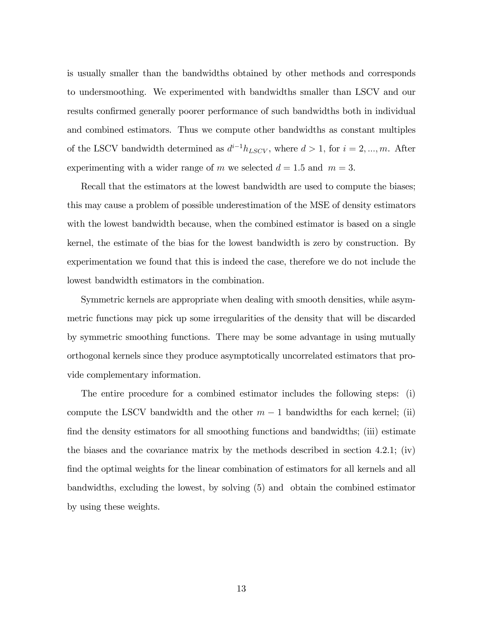is usually smaller than the bandwidths obtained by other methods and corresponds to undersmoothing. We experimented with bandwidths smaller than LSCV and our results confirmed generally poorer performance of such bandwidths both in individual and combined estimators. Thus we compute other bandwidths as constant multiples of the LSCV bandwidth determined as  $d^{i-1}h_{LSCV}$ , where  $d > 1$ , for  $i = 2, ..., m$ . After experimenting with a wider range of m we selected  $d = 1.5$  and  $m = 3$ .

Recall that the estimators at the lowest bandwidth are used to compute the biases; this may cause a problem of possible underestimation of the MSE of density estimators with the lowest bandwidth because, when the combined estimator is based on a single kernel, the estimate of the bias for the lowest bandwidth is zero by construction. By experimentation we found that this is indeed the case, therefore we do not include the lowest bandwidth estimators in the combination.

Symmetric kernels are appropriate when dealing with smooth densities, while asymmetric functions may pick up some irregularities of the density that will be discarded by symmetric smoothing functions. There may be some advantage in using mutually orthogonal kernels since they produce asymptotically uncorrelated estimators that provide complementary information.

The entire procedure for a combined estimator includes the following steps: (i) compute the LSCV bandwidth and the other  $m-1$  bandwidths for each kernel; (ii) find the density estimators for all smoothing functions and bandwidths; (iii) estimate the biases and the covariance matrix by the methods described in section 4.2.1; (iv) find the optimal weights for the linear combination of estimators for all kernels and all bandwidths, excluding the lowest, by solving (5) and obtain the combined estimator by using these weights.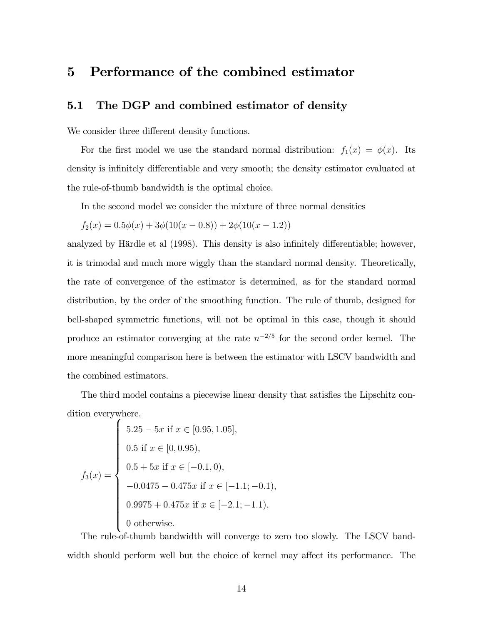# 5 Performance of the combined estimator

#### 5.1 The DGP and combined estimator of density

We consider three different density functions.

For the first model we use the standard normal distribution:  $f_1(x) = \phi(x)$ . Its density is infinitely differentiable and very smooth; the density estimator evaluated at the rule-of-thumb bandwidth is the optimal choice.

In the second model we consider the mixture of three normal densities

$$
f_2(x) = 0.5\phi(x) + 3\phi(10(x - 0.8)) + 2\phi(10(x - 1.2))
$$

analyzed by Härdle et al (1998). This density is also infinitely differentiable; however, it is trimodal and much more wiggly than the standard normal density. Theoretically, the rate of convergence of the estimator is determined, as for the standard normal distribution, by the order of the smoothing function. The rule of thumb, designed for bell-shaped symmetric functions, will not be optimal in this case, though it should produce an estimator converging at the rate  $n^{-2/5}$  for the second order kernel. The more meaningful comparison here is between the estimator with LSCV bandwidth and the combined estimators.

The third model contains a piecewise linear density that satisfies the Lipschitz condition everywhere.

$$
f_3(x) = \begin{cases} 5.25 - 5x & \text{if } x \in [0.95, 1.05], \\ 0.5 & \text{if } x \in [0, 0.95), \\ 0.5 + 5x & \text{if } x \in [-0.1, 0), \\ -0.0475 - 0.475x & \text{if } x \in [-1.1; -0.1), \\ 0.9975 + 0.475x & \text{if } x \in [-2.1; -1.1), \\ 0 & \text{otherwise.} \end{cases}
$$

The rule-of-thumb bandwidth will converge to zero too slowly. The LSCV bandwidth should perform well but the choice of kernel may affect its performance. The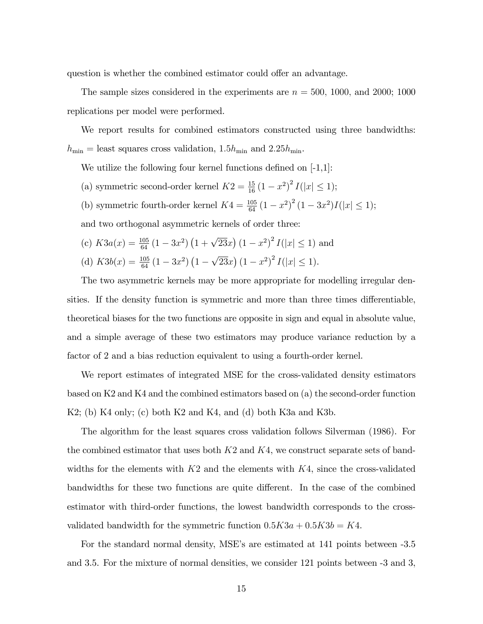question is whether the combined estimator could offer an advantage.

The sample sizes considered in the experiments are  $n = 500, 1000,$  and 2000; 1000 replications per model were performed.

We report results for combined estimators constructed using three bandwidths:  $h_{\min} =$  least squares cross validation, 1.5 $h_{\min}$  and 2.25 $h_{\min}$ .

We utilize the following four kernel functions defined on  $[-1,1]$ :

- (a) symmetric second-order kernel  $K2 = \frac{15}{16} (1 x^2)^2 I(|x| \le 1);$
- (b) symmetric fourth-order kernel  $K4 = \frac{105}{64} (1 x^2)^2 (1 3x^2) I(|x| \le 1);$

and two orthogonal asymmetric kernels of order three:

(c)  $K3a(x) = \frac{105}{64} (1 - 3x^2) (1 + \sqrt{23}x) (1 - x^2)^2 I(|x| \le 1)$  and (d)  $K3b(x) = \frac{105}{64} (1 - 3x^2) (1 - \sqrt{23}x) (1 - x^2)^2 I(|x| \le 1).$ 

The two asymmetric kernels may be more appropriate for modelling irregular densities. If the density function is symmetric and more than three times differentiable, theoretical biases for the two functions are opposite in sign and equal in absolute value, and a simple average of these two estimators may produce variance reduction by a factor of 2 and a bias reduction equivalent to using a fourth-order kernel.

We report estimates of integrated MSE for the cross-validated density estimators based on K2 and K4 and the combined estimators based on (a) the second-order function K2; (b) K4 only; (c) both K2 and K4, and (d) both K3a and K3b.

The algorithm for the least squares cross validation follows Silverman (1986). For the combined estimator that uses both  $K2$  and  $K4$ , we construct separate sets of bandwidths for the elements with  $K2$  and the elements with  $K4$ , since the cross-validated bandwidths for these two functions are quite different. In the case of the combined estimator with third-order functions, the lowest bandwidth corresponds to the crossvalidated bandwidth for the symmetric function  $0.5K3a + 0.5K3b = K4$ .

For the standard normal density, MSE's are estimated at 141 points between  $-3.5$ and 3.5. For the mixture of normal densities, we consider 121 points between -3 and 3,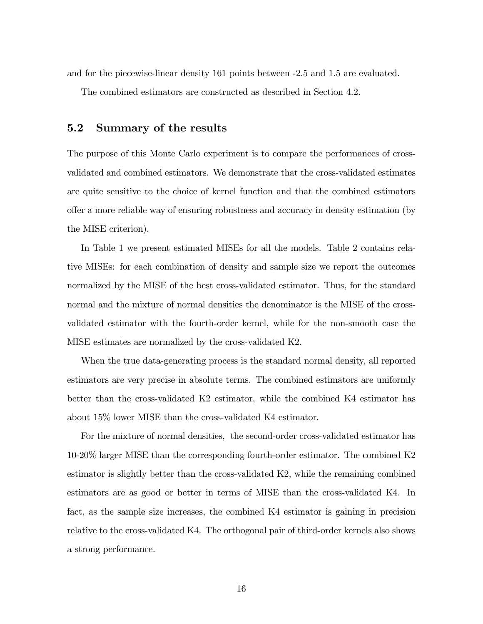and for the piecewise-linear density 161 points between -2.5 and 1.5 are evaluated.

The combined estimators are constructed as described in Section 4.2.

#### 5.2 Summary of the results

The purpose of this Monte Carlo experiment is to compare the performances of crossvalidated and combined estimators. We demonstrate that the cross-validated estimates are quite sensitive to the choice of kernel function and that the combined estimators offer a more reliable way of ensuring robustness and accuracy in density estimation (by the MISE criterion).

In Table 1 we present estimated MISEs for all the models. Table 2 contains relative MISEs: for each combination of density and sample size we report the outcomes normalized by the MISE of the best cross-validated estimator. Thus, for the standard normal and the mixture of normal densities the denominator is the MISE of the crossvalidated estimator with the fourth-order kernel, while for the non-smooth case the MISE estimates are normalized by the cross-validated K2.

When the true data-generating process is the standard normal density, all reported estimators are very precise in absolute terms. The combined estimators are uniformly better than the cross-validated K2 estimator, while the combined K4 estimator has about 15% lower MISE than the cross-validated K4 estimator.

For the mixture of normal densities, the second-order cross-validated estimator has 10-20% larger MISE than the corresponding fourth-order estimator. The combined K2 estimator is slightly better than the cross-validated K2, while the remaining combined estimators are as good or better in terms of MISE than the cross-validated K4. In fact, as the sample size increases, the combined K4 estimator is gaining in precision relative to the cross-validated K4. The orthogonal pair of third-order kernels also shows a strong performance.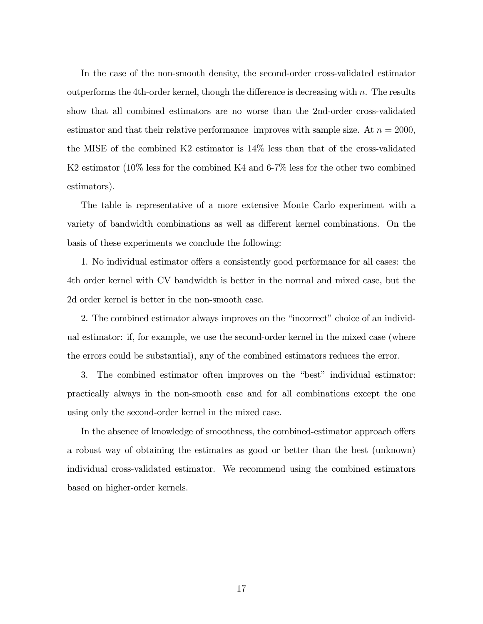In the case of the non-smooth density, the second-order cross-validated estimator outperforms the 4th-order kernel, though the difference is decreasing with  $n$ . The results show that all combined estimators are no worse than the 2nd-order cross-validated estimator and that their relative performance improves with sample size. At  $n = 2000$ , the MISE of the combined K2 estimator is 14% less than that of the cross-validated K2 estimator (10% less for the combined K4 and 6-7% less for the other two combined estimators).

The table is representative of a more extensive Monte Carlo experiment with a variety of bandwidth combinations as well as different kernel combinations. On the basis of these experiments we conclude the following:

1. No individual estimator offers a consistently good performance for all cases: the 4th order kernel with CV bandwidth is better in the normal and mixed case, but the 2d order kernel is better in the non-smooth case.

2. The combined estimator always improves on the "incorrect" choice of an individual estimator: if, for example, we use the second-order kernel in the mixed case (where the errors could be substantial), any of the combined estimators reduces the error.

3. The combined estimator often improves on the "best" individual estimator: practically always in the non-smooth case and for all combinations except the one using only the second-order kernel in the mixed case.

In the absence of knowledge of smoothness, the combined-estimator approach offers a robust way of obtaining the estimates as good or better than the best (unknown) individual cross-validated estimator. We recommend using the combined estimators based on higher-order kernels.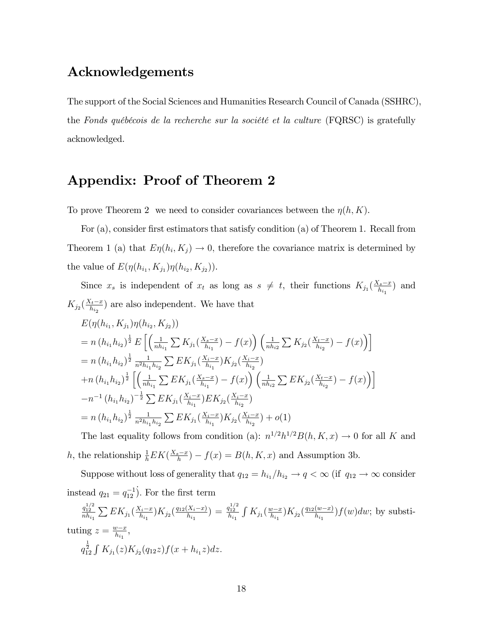# Acknowledgements

The support of the Social Sciences and Humanities Research Council of Canada (SSHRC), the Fonds québécois de la recherche sur la société et la culture  $(FQRSC)$  is gratefully acknowledged.

# Appendix: Proof of Theorem 2

To prove Theorem 2 we need to consider covariances between the  $\eta(h, K)$ .

For (a), consider first estimators that satisfy condition (a) of Theorem 1. Recall from Theorem 1 (a) that  $E\eta(h_i, K_j) \to 0$ , therefore the covariance matrix is determined by the value of  $E(\eta(h_{i_1}, K_{j_1})\eta(h_{i_2}, K_{j_2})).$ 

Since  $x_s$  is independent of  $x_t$  as long as  $s \neq t$ , their functions  $K_{j_1}(\frac{X_s - x}{h_{i_1}})$  $\frac{d(s-x)}{h_{i_1}}$  and  $K_{j_2}(\frac{X_t-x}{h_{i_2}})$  $\frac{(t - x)}{h_{i_2}}$  are also independent. We have that

$$
E(\eta(h_{i_1}, K_{j_1})\eta(h_{i_2}, K_{j_2}))
$$
  
=  $n (h_{i_1} h_{i_2})^{\frac{1}{2}} E\left[ \left( \frac{1}{n h_{i_1}} \sum K_{j_1} (\frac{X_s - x}{h_{i_1}}) - f(x) \right) \left( \frac{1}{n h_{i_2}} \sum K_{j_2} (\frac{X_t - x}{h_{i_2}}) - f(x) \right) \right]$   
=  $n (h_{i_1} h_{i_2})^{\frac{1}{2}} \frac{1}{n^2 h_{i_1} h_{i_2}} \sum E K_{j_1} (\frac{X_i - x}{h_{i_1}}) K_{j_2} (\frac{X_i - x}{h_{i_2}})$   
+  $n (h_{i_1} h_{i_2})^{\frac{1}{2}} \left[ \left( \frac{1}{n h_{i_1}} \sum E K_{j_1} (\frac{X_s - x}{h_{i_1}}) - f(x) \right) \left( \frac{1}{n h_{i_2}} \sum E K_{j_2} (\frac{X_t - x}{h_{i_2}}) - f(x) \right) \right]$   
-  $n^{-1} (h_{i_1} h_{i_2})^{-\frac{1}{2}} \sum E K_{j_1} (\frac{X_i - x}{h_{i_1}}) E K_{j_2} (\frac{X_i - x}{h_{i_2}})$   
=  $n (h_{i_1} h_{i_2})^{\frac{1}{2}} \frac{1}{n^2 h_{i_1} h_{i_2}} \sum E K_{j_1} (\frac{X_i - x}{h_{i_1}}) K_{j_2} (\frac{X_i - x}{h_{i_2}}) + o(1)$ 

The last equality follows from condition (a):  $n^{1/2}h^{1/2}B(h, K, x) \rightarrow 0$  for all K and h, the relationship  $\frac{1}{h} E K(\frac{X_s - x}{h}) - f(x) = B(h, K, x)$  and Assumption 3b.

Suppose without loss of generality that  $q_{12} = h_{i_1}/h_{i_2} \rightarrow q < \infty$  (if  $q_{12} \rightarrow \infty$  consider instead  $q_{21} = q_{12}^{-1}$ ). For the first term

$$
\frac{q_{12}^{1/2}}{nh_{i_1}} \sum E K_{j_1}(\frac{X_i - x}{h_{i_1}}) K_{j_2}(\frac{q_{12}(X_i - x)}{h_{i_1}}) = \frac{q_{12}^{1/2}}{h_{i_1}} \int K_{j_1}(\frac{w - x}{h_{i_1}}) K_{j_2}(\frac{q_{12}(w - x)}{h_{i_1}}) f(w) dw; \text{ by substituting } z = \frac{w - x}{h_{i_1}},
$$
\n
$$
q_{12}^{\frac{1}{2}} \int K_{j_1}(z) K_{j_2}(q_{12}z) f(x + h_{i_1}z) dz.
$$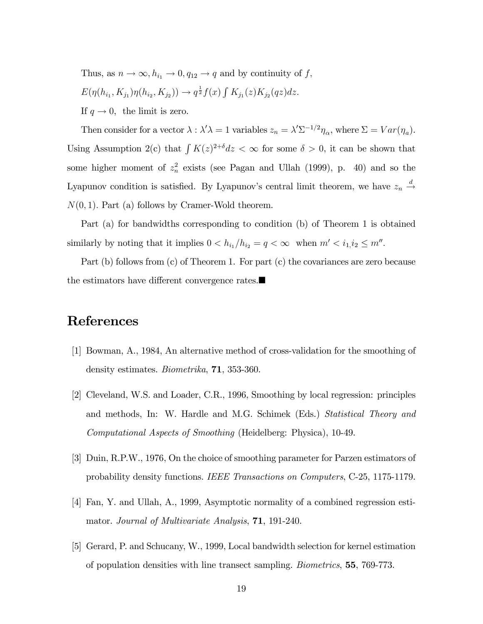Thus, as  $n \to \infty$ ,  $h_{i_1} \to 0$ ,  $q_{12} \to q$  and by continuity of f,  $E(\eta(h_{i_1}, K_{j_1})\eta(h_{i_2}, K_{j_2})) \to q^{\frac{1}{2}}f(x) \int K_{j_1}(z)K_{j_2}(qz)dz.$ If  $q \to 0$ , the limit is zero.

Then consider for a vector  $\lambda : \lambda' \lambda = 1$  variables  $z_n = \lambda' \Sigma^{-1/2} \eta_\alpha$ , where  $\Sigma = Var(\eta_a)$ . Using Assumption 2(c) that  $\int K(z)^{2+\delta} dz < \infty$  for some  $\delta > 0$ , it can be shown that some higher moment of  $z_n^2$  exists (see Pagan and Ullah (1999), p. 40) and so the Lyapunov condition is satisfied. By Lyapunov's central limit theorem, we have  $z_n \stackrel{d}{\rightarrow}$  $N(0, 1)$ . Part (a) follows by Cramer-Wold theorem.

Part (a) for bandwidths corresponding to condition (b) of Theorem 1 is obtained similarly by noting that it implies  $0 < h_{i_1}/h_{i_2} = q < \infty$  when  $m' < i_1, i_2 \le m''$ .

Part (b) follows from (c) of Theorem 1. For part (c) the covariances are zero because the estimators have different convergence rates. $\blacksquare$ 

# References

- [1] Bowman, A., 1984, An alternative method of cross-validation for the smoothing of density estimates. Biometrika, 71, 353-360.
- [2] Cleveland, W.S. and Loader, C.R., 1996, Smoothing by local regression: principles and methods, In: W. Hardle and M.G. Schimek (Eds.) Statistical Theory and Computational Aspects of Smoothing (Heidelberg: Physica), 10-49.
- [3] Duin, R.P.W., 1976, On the choice of smoothing parameter for Parzen estimators of probability density functions. IEEE Transactions on Computers, C-25, 1175-1179.
- [4] Fan, Y. and Ullah, A., 1999, Asymptotic normality of a combined regression estimator. Journal of Multivariate Analysis, 71, 191-240.
- [5] Gerard, P. and Schucany, W., 1999, Local bandwidth selection for kernel estimation of population densities with line transect sampling. Biometrics, 55, 769-773.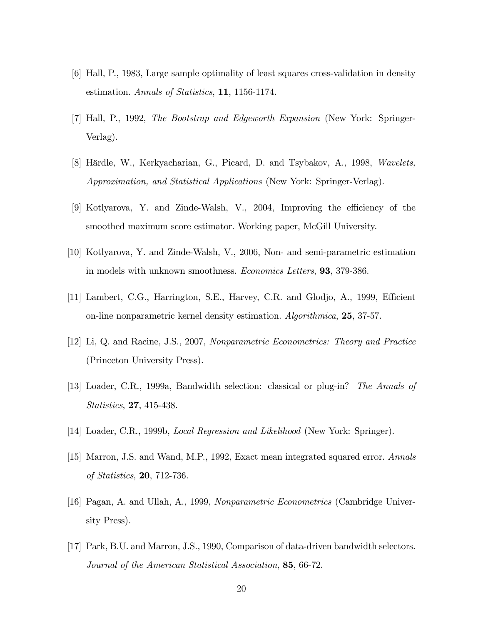- [6] Hall, P., 1983, Large sample optimality of least squares cross-validation in density estimation. Annals of Statistics, 11, 1156-1174.
- [7] Hall, P., 1992, The Bootstrap and Edgeworth Expansion (New York: Springer-Verlag).
- [8] Härdle, W., Kerkyacharian, G., Picard, D. and Tsybakov, A., 1998, Wavelets, Approximation, and Statistical Applications (New York: Springer-Verlag).
- [9] Kotlyarova, Y. and Zinde-Walsh, V., 2004, Improving the efficiency of the smoothed maximum score estimator. Working paper, McGill University.
- [10] Kotlyarova, Y. and Zinde-Walsh, V., 2006, Non- and semi-parametric estimation in models with unknown smoothness. Economics Letters, 93, 379-386.
- [11] Lambert, C.G., Harrington, S.E., Harvey, C.R. and Glodjo, A., 1999, Efficient on-line nonparametric kernel density estimation. Algorithmica, 25, 37-57.
- [12] Li, Q. and Racine, J.S., 2007, Nonparametric Econometrics: Theory and Practice (Princeton University Press).
- [13] Loader, C.R., 1999a, Bandwidth selection: classical or plug-in? The Annals of Statistics, 27, 415-438.
- [14] Loader, C.R., 1999b, Local Regression and Likelihood (New York: Springer).
- [15] Marron, J.S. and Wand, M.P., 1992, Exact mean integrated squared error. Annals of Statistics, 20, 712-736.
- [16] Pagan, A. and Ullah, A., 1999, Nonparametric Econometrics (Cambridge University Press).
- [17] Park, B.U. and Marron, J.S., 1990, Comparison of data-driven bandwidth selectors. Journal of the American Statistical Association, 85, 66-72.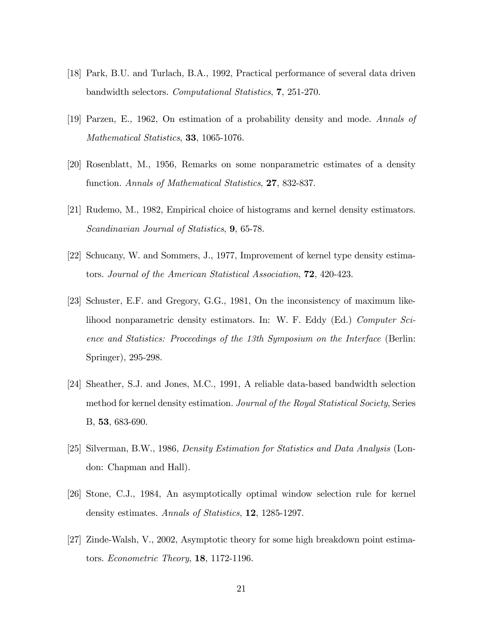- [18] Park, B.U. and Turlach, B.A., 1992, Practical performance of several data driven bandwidth selectors. Computational Statistics, 7, 251-270.
- [19] Parzen, E., 1962, On estimation of a probability density and mode. Annals of Mathematical Statistics, 33, 1065-1076.
- [20] Rosenblatt, M., 1956, Remarks on some nonparametric estimates of a density function. Annals of Mathematical Statistics, 27, 832-837.
- [21] Rudemo, M., 1982, Empirical choice of histograms and kernel density estimators. Scandinavian Journal of Statistics, **9**, 65-78.
- [22] Schucany, W. and Sommers, J., 1977, Improvement of kernel type density estimators. Journal of the American Statistical Association, 72, 420-423.
- [23] Schuster, E.F. and Gregory, G.G., 1981, On the inconsistency of maximum likelihood nonparametric density estimators. In: W. F. Eddy (Ed.) Computer Science and Statistics: Proceedings of the 13th Symposium on the Interface (Berlin: Springer), 295-298.
- [24] Sheather, S.J. and Jones, M.C., 1991, A reliable data-based bandwidth selection method for kernel density estimation. Journal of the Royal Statistical Society, Series B, 53, 683-690.
- [25] Silverman, B.W., 1986, Density Estimation for Statistics and Data Analysis (London: Chapman and Hall).
- [26] Stone, C.J., 1984, An asymptotically optimal window selection rule for kernel density estimates. Annals of Statistics, 12, 1285-1297.
- [27] Zinde-Walsh, V., 2002, Asymptotic theory for some high breakdown point estimators. Econometric Theory, 18, 1172-1196.